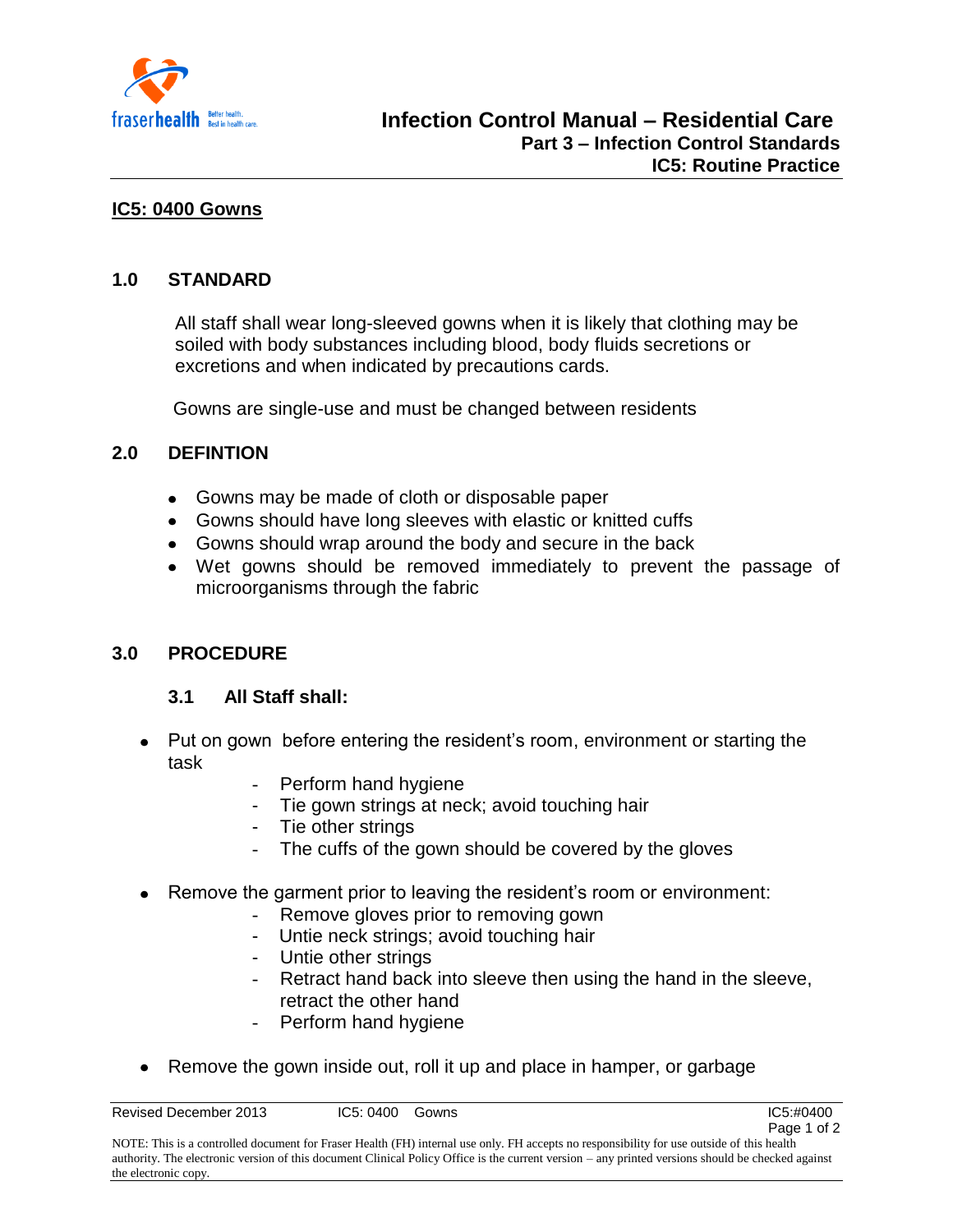

# **IC5: 0400 Gowns**

### **1.0 STANDARD**

All staff shall wear long-sleeved gowns when it is likely that clothing may be soiled with body substances including blood, body fluids secretions or excretions and when indicated by precautions cards.

Gowns are single-use and must be changed between residents

# **2.0 DEFINTION**

- Gowns may be made of cloth or disposable paper
- Gowns should have long sleeves with elastic or knitted cuffs
- Gowns should wrap around the body and secure in the back
- Wet gowns should be removed immediately to prevent the passage of microorganisms through the fabric

# **3.0 PROCEDURE**

# **3.1 All Staff shall:**

- Put on gown before entering the resident's room, environment or starting the task
	- Perform hand hygiene
	- Tie gown strings at neck; avoid touching hair
	- Tie other strings
	- The cuffs of the gown should be covered by the gloves
- Remove the garment prior to leaving the resident's room or environment:
	- Remove gloves prior to removing gown
	- Untie neck strings; avoid touching hair
	- Untie other strings
	- Retract hand back into sleeve then using the hand in the sleeve, retract the other hand
		- Perform hand hygiene
- Remove the gown inside out, roll it up and place in hamper, or garbage